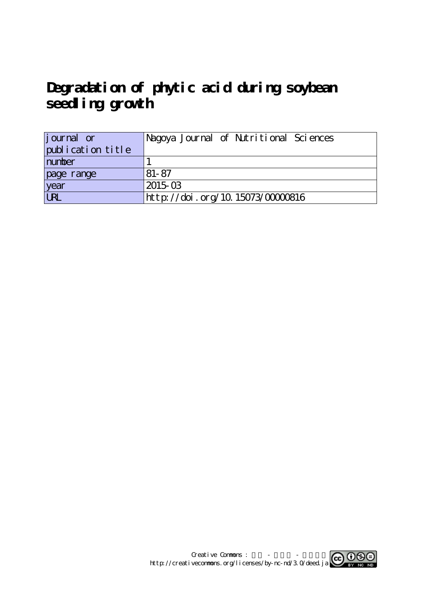**Degradation of phytic acid during soybean seedling growth**

| journal or        | Nagoya Journal of Nutritional Sciences |
|-------------------|----------------------------------------|
| publication title |                                        |
| number            |                                        |
| page range        | $81 - 87$                              |
| year              | 2015-03                                |
| URL               | http://doi.org/10.15073/0000816        |

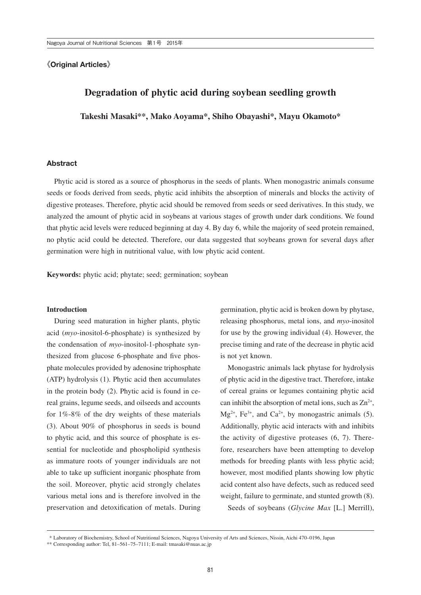### **《**Original Articles**》**

# **Degradation of phytic acid during soybean seedling growth**

**Takeshi Masaki\*\*, Mako Aoyama\*, Shiho Obayashi\*, Mayu Okamoto\***

#### Abstract

Phytic acid is stored as a source of phosphorus in the seeds of plants. When monogastric animals consume seeds or foods derived from seeds, phytic acid inhibits the absorption of minerals and blocks the activity of digestive proteases. Therefore, phytic acid should be removed from seeds or seed derivatives. In this study, we analyzed the amount of phytic acid in soybeans at various stages of growth under dark conditions. We found that phytic acid levels were reduced beginning at day 4. By day 6, while the majority of seed protein remained, no phytic acid could be detected. Therefore, our data suggested that soybeans grown for several days after germination were high in nutritional value, with low phytic acid content.

**Keywords:** phytic acid; phytate; seed; germination; soybean

#### **Introduction**

During seed maturation in higher plants, phytic acid (*myo*-inositol-6-phosphate) is synthesized by the condensation of *myo*-inositol-1-phosphate synthesized from glucose 6-phosphate and five phosphate molecules provided by adenosine triphosphate (ATP) hydrolysis (1). Phytic acid then accumulates in the protein body (2). Phytic acid is found in cereal grains, legume seeds, and oilseeds and accounts for 1%-8% of the dry weights of these materials (3). About 90% of phosphorus in seeds is bound to phytic acid, and this source of phosphate is essential for nucleotide and phospholipid synthesis as immature roots of younger individuals are not able to take up sufficient inorganic phosphate from the soil. Moreover, phytic acid strongly chelates various metal ions and is therefore involved in the preservation and detoxification of metals. During germination, phytic acid is broken down by phytase, releasing phosphorus, metal ions, and *myo*-inositol for use by the growing individual (4). However, the precise timing and rate of the decrease in phytic acid is not yet known.

Monogastric animals lack phytase for hydrolysis of phytic acid in the digestive tract. Therefore, intake of cereal grains or legumes containing phytic acid can inhibit the absorption of metal ions, such as  $Zn^{2+}$ ,  $Mg^{2+}$ , Fe<sup>3+</sup>, and Ca<sup>2+</sup>, by monogastric animals (5). Additionally, phytic acid interacts with and inhibits the activity of digestive proteases (6, 7). Therefore, researchers have been attempting to develop methods for breeding plants with less phytic acid; however, most modified plants showing low phytic acid content also have defects, such as reduced seed weight, failure to germinate, and stunted growth (8).

Seeds of soybeans (*Glycine Max* [L.] Merrill),

 <sup>\*</sup> Laboratory of Biochemistry, School of Nutritional Sciences, Nagoya University of Arts and Sciences, Nissin, Aichi 470–0196, Japan

<sup>\*\*</sup> Corresponding author: Tel, 81–561–75–7111; E-mail: tmasaki@nuas.ac.jp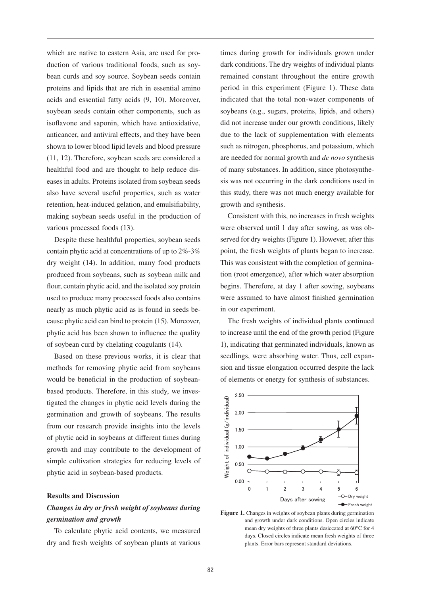which are native to eastern Asia, are used for production of various traditional foods, such as soybean curds and soy source. Soybean seeds contain proteins and lipids that are rich in essential amino acids and essential fatty acids (9, 10). Moreover, soybean seeds contain other components, such as isoflavone and saponin, which have antioxidative, anticancer, and antiviral effects, and they have been shown to lower blood lipid levels and blood pressure (11, 12). Therefore, soybean seeds are considered a healthful food and are thought to help reduce diseases in adults. Proteins isolated from soybean seeds also have several useful properties, such as water retention, heat-induced gelation, and emulsifiability, making soybean seeds useful in the production of various processed foods (13).

Despite these healthful properties, soybean seeds contain phytic acid at concentrations of up to 2%-3% dry weight (14). In addition, many food products produced from soybeans, such as soybean milk and flour, contain phytic acid, and the isolated soy protein used to produce many processed foods also contains nearly as much phytic acid as is found in seeds because phytic acid can bind to protein (15). Moreover, phytic acid has been shown to influence the quality of soybean curd by chelating coagulants (14).

Based on these previous works, it is clear that methods for removing phytic acid from soybeans would be beneficial in the production of soybeanbased products. Therefore, in this study, we investigated the changes in phytic acid levels during the germination and growth of soybeans. The results from our research provide insights into the levels of phytic acid in soybeans at different times during growth and may contribute to the development of simple cultivation strategies for reducing levels of phytic acid in soybean-based products.

#### **Results and Discussion**

## *Changes in dry or fresh weight of soybeans during germination and growth*

To calculate phytic acid contents, we measured dry and fresh weights of soybean plants at various times during growth for individuals grown under dark conditions. The dry weights of individual plants remained constant throughout the entire growth period in this experiment (Figure 1). These data indicated that the total non-water components of soybeans (e.g., sugars, proteins, lipids, and others) did not increase under our growth conditions, likely due to the lack of supplementation with elements such as nitrogen, phosphorus, and potassium, which are needed for normal growth and *de novo* synthesis of many substances. In addition, since photosynthesis was not occurring in the dark conditions used in this study, there was not much energy available for growth and synthesis.

Consistent with this, no increases in fresh weights were observed until 1 day after sowing, as was observed for dry weights (Figure 1). However, after this point, the fresh weights of plants began to increase. This was consistent with the completion of germination (root emergence), after which water absorption begins. Therefore, at day 1 after sowing, soybeans were assumed to have almost finished germination in our experiment.

The fresh weights of individual plants continued to increase until the end of the growth period (Figure 1), indicating that germinated individuals, known as seedlings, were absorbing water. Thus, cell expansion and tissue elongation occurred despite the lack of elements or energy for synthesis of substances.



Figure 1. Changes in weights of soybean plants during germination and growth under dark conditions. Open circles indicate mean dry weights of three plants desiccated at 60°C for 4 days. Closed circles indicate mean fresh weights of three plants. Error bars represent standard deviations.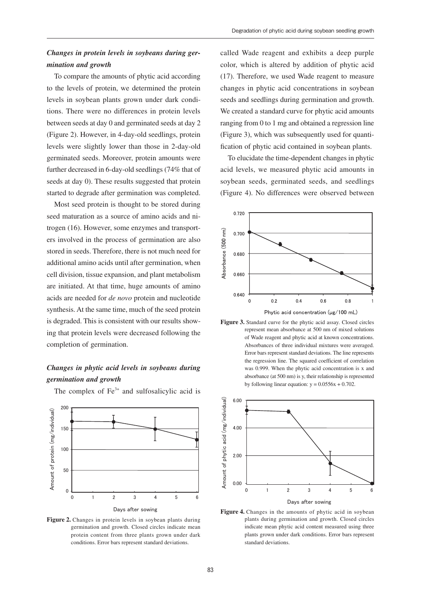## *Changes in protein levels in soybeans during germination and growth*

To compare the amounts of phytic acid according to the levels of protein, we determined the protein levels in soybean plants grown under dark conditions. There were no differences in protein levels between seeds at day 0 and germinated seeds at day 2 (Figure 2). However, in 4-day-old seedlings, protein levels were slightly lower than those in 2-day-old germinated seeds. Moreover, protein amounts were further decreased in 6-day-old seedlings (74% that of seeds at day 0). These results suggested that protein started to degrade after germination was completed.

Most seed protein is thought to be stored during seed maturation as a source of amino acids and nitrogen (16). However, some enzymes and transporters involved in the process of germination are also stored in seeds. Therefore, there is not much need for additional amino acids until after germination, when cell division, tissue expansion, and plant metabolism are initiated. At that time, huge amounts of amino acids are needed for *de novo* protein and nucleotide synthesis. At the same time, much of the seed protein is degraded. This is consistent with our results showing that protein levels were decreased following the completion of germination.

## *Changes in phytic acid levels in soybeans during germination and growth*



The complex of  $Fe<sup>3+</sup>$  and sulfosalicylic acid is

Figure 2. Changes in protein levels in soybean plants during germination and growth. Closed circles indicate mean protein content from three plants grown under dark conditions. Error bars represent standard deviations.

called Wade reagent and exhibits a deep purple color, which is altered by addition of phytic acid (17). Therefore, we used Wade reagent to measure changes in phytic acid concentrations in soybean seeds and seedlings during germination and growth. We created a standard curve for phytic acid amounts ranging from 0 to 1 mg and obtained a regression line (Figure 3), which was subsequently used for quantification of phytic acid contained in soybean plants.

To elucidate the time-dependent changes in phytic acid levels, we measured phytic acid amounts in soybean seeds, germinated seeds, and seedlings (Figure 4). No differences were observed between



**Figure 3.** Standard curve for the phytic acid assay. Closed circles represent mean absorbance at 500 nm of mixed solutions of Wade reagent and phytic acid at known concentrations. Absorbances of three individual mixtures were averaged. Error bars represent standard deviations. The line represents the regression line. The squared coefficient of correlation was 0.999. When the phytic acid concentration is x and absorbance (at 500 nm) is y, their relationship is represented by following linear equation:  $y = 0.0556x + 0.702$ .



plants grown under dark conditions. Error bars represent Figure 4. Changes in the amounts of phytic acid in soybean plants during germination and growth. Closed circles indicate mean phytic acid content measured using three standard deviations.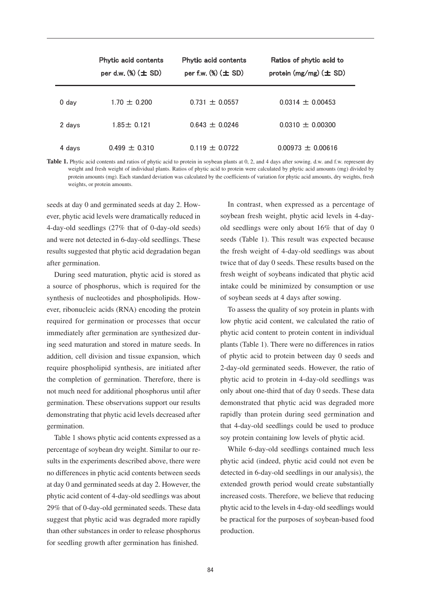|         | Phytic acid contents<br>per d.w. $%$ $(\pm$ SD) | Phytic acid contents<br>per f.w. $(\%) (\pm SD)$ | Ratios of phytic acid to<br>protein $(mg/mg)$ ( $\pm$ SD) |
|---------|-------------------------------------------------|--------------------------------------------------|-----------------------------------------------------------|
| $0$ day | $1.70 \pm 0.200$                                | $0.731 + 0.0557$                                 | $0.0314 \pm 0.00453$                                      |
| 2 days  | $1.85 \pm 0.121$                                | $0.643 + 0.0246$                                 | $0.0310 + 0.00300$                                        |
| 4 days  | $0.499 + 0.310$                                 | $0.119 + 0.0722$                                 | $0.00973 \pm 0.00616$                                     |

Table 1. Phytic acid contents and ratios of phytic acid to protein in soybean plants at 0, 2, and 4 days after sowing. d.w. and f.w. represent dry weight and fresh weight of individual plants. Ratios of phytic acid to protein were calculated by phytic acid amounts (mg) divided by protein amounts (mg). Each standard deviation was calculated by the coefficients of variation for phytic acid amounts, dry weights, fresh weights, or protein amounts.

seeds at day 0 and germinated seeds at day 2. How-<br>In contrast, when expressed as a percentary ever, phytic acid levels were dramatically reduced in 4-day-old seedlings  $(27\%$  that of 0-day-old seeds) old seedlings were only about 16% that of and were not detected in 6-day-old seedlings. These results suggested that phytic acid degradation began after germination.

During seed maturation, phytic acid is stored as a source of phosphorus, which is required for the intake could be minimized by consumption or synthesis of nucleotides and phospholipids. However, ribonucleic acids (RNA) encoding the protein To assess the quality of soy protein in plants (RNA) encoding the protein To assess the quality of soy protein in plants required for germination or processes that occur immediately after germination are synthesized during seed maturation and stored in mature seeds. In addition, cell division and tissue expansion, which require phospholipid synthesis, are initiated after the completion of germination. Therefore, there is not much need for additional phosphorus until after germination. These observations support our results demonstrating that phytic acid levels decreased after germination.

Table 1 shows phytic acid contents expressed as a percentage of soybean dry weight. Similar to our results in the experiments described above, there were no differences in phytic acid contents between seeds at day 0 and germinated seeds at day 2. However, the phytic acid content of 4-day-old seedlings was about 29% that of 0-day-old germinated seeds. These data suggest that phytic acid was degraded more rapidly than other substances in order to release phosphorus for seedling growth after germination has finished.

In contrast, when expressed as a percentage of soybean fresh weight, phytic acid levels in 4-dayold seedlings were only about 16% that of day 0 seeds (Table 1). This result was expected because the fresh weight of 4-day-old seedlings was about  $\frac{d\mathbf{r}}{dt}$  are germination. We derive that of day 0 seeds. These results based on the fresh weight of soybeans indicated that phytic acid intake could be minimized by consumption or use of soybean seeds at 4 days after sowing.

To assess the quality of soy protein in plants with low phytic acid content, we calculated the ratio of phytic acid content to protein content in individual g seed maturation and stored in mature seeds. In plants (Table 1). There were no differences in ratios of phytic acid to protein between day 0 seeds and 2-day-old germinated seeds. However, the ratio of phytic acid to protein in 4-day-old seedlings was only about one-third that of day 0 seeds. These data demonstrated that phytic acid was degraded more rapidly than protein during seed germination and that 4-day-old seedlings could be used to produce soy protein containing low levels of phytic acid.

> While 6-day-old seedlings contained much less phytic acid (indeed, phytic acid could not even be detected in 6-day-old seedlings in our analysis), the extended growth period would create substantially increased costs. Therefore, we believe that reducing phytic acid to the levels in 4-day-old seedlings would be practical for the purposes of soybean-based food production.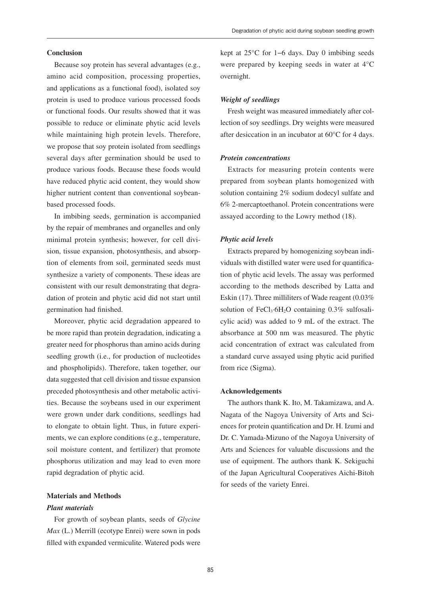#### **Conclusion**

Because soy protein has several advantages (e.g., amino acid composition, processing properties, and applications as a functional food), isolated soy protein is used to produce various processed foods or functional foods. Our results showed that it was possible to reduce or eliminate phytic acid levels while maintaining high protein levels. Therefore, we propose that soy protein isolated from seedlings several days after germination should be used to produce various foods. Because these foods would have reduced phytic acid content, they would show higher nutrient content than conventional soybeanbased processed foods.

In imbibing seeds, germination is accompanied by the repair of membranes and organelles and only minimal protein synthesis; however, for cell division, tissue expansion, photosynthesis, and absorption of elements from soil, germinated seeds must synthesize a variety of components. These ideas are consistent with our result demonstrating that degradation of protein and phytic acid did not start until germination had finished.

Moreover, phytic acid degradation appeared to be more rapid than protein degradation, indicating a greater need for phosphorus than amino acids during seedling growth (i.e., for production of nucleotides and phospholipids). Therefore, taken together, our data suggested that cell division and tissue expansion preceded photosynthesis and other metabolic activities. Because the soybeans used in our experiment were grown under dark conditions, seedlings had to elongate to obtain light. Thus, in future experiments, we can explore conditions (e.g., temperature, soil moisture content, and fertilizer) that promote phosphorus utilization and may lead to even more rapid degradation of phytic acid.

#### **Materials and Methods**

#### *Plant materials*

For growth of soybean plants, seeds of *Glycine Max* (L.) Merrill (ecotype Enrei) were sown in pods filled with expanded vermiculite. Watered pods were

kept at 25°C for 1−6 days. Day 0 imbibing seeds were prepared by keeping seeds in water at 4°C overnight.

#### *Weight of seedlings*

Fresh weight was measured immediately after collection of soy seedlings. Dry weights were measured after desiccation in an incubator at 60°C for 4 days.

#### *Protein concentrations*

Extracts for measuring protein contents were prepared from soybean plants homogenized with solution containing 2% sodium dodecyl sulfate and 6% 2-mercaptoethanol. Protein concentrations were assayed according to the Lowry method (18).

#### *Phytic acid levels*

Extracts prepared by homogenizing soybean individuals with distilled water were used for quantification of phytic acid levels. The assay was performed according to the methods described by Latta and Eskin (17). Three milliliters of Wade reagent (0.03% solution of FeCl<sub>3</sub>⋅6H<sub>2</sub>O containing 0.3% sulfosalicylic acid) was added to 9 mL of the extract. The absorbance at 500 nm was measured. The phytic acid concentration of extract was calculated from a standard curve assayed using phytic acid purified from rice (Sigma).

#### **Acknowledgements**

The authors thank K. Ito, M. Takamizawa, and A. Nagata of the Nagoya University of Arts and Sciences for protein quantification and Dr. H. Izumi and Dr. C. Yamada-Mizuno of the Nagoya University of Arts and Sciences for valuable discussions and the use of equipment. The authors thank K. Sekiguchi of the Japan Agricultural Cooperatives Aichi-Bitoh for seeds of the variety Enrei.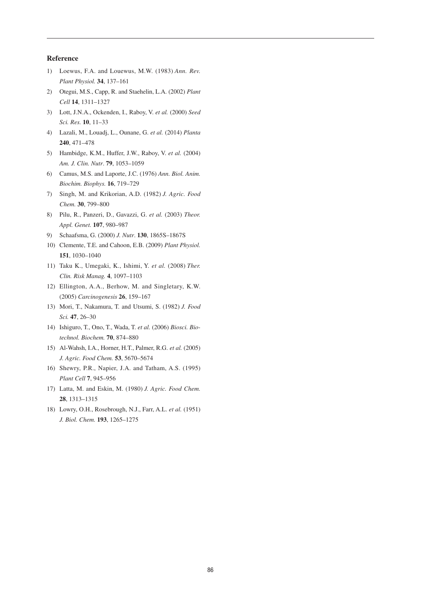#### **Reference**

- 1) Loewus, F.A. and Louewus, M.W. (1983) *Ann. Rev. Plant Physiol.* **34**, 137–161
- 2) Otegui, M.S., Capp, R. and Staehelin, L.A. (2002) *Plant Cell* **14**, 1311–1327
- 3) Lott, J.N.A., Ockenden, I., Raboy, V. *et al.* (2000) *Seed Sci. Res.* **10**, 11–33
- 4) Lazali, M., Louadj, L., Ounane, G. *et al.* (2014) *Planta* **240**, 471–478
- 5) Hambidge, K.M., Huffer, J.W., Raboy, V. *et al.* (2004) *Am. J. Clin. Nutr*. **79**, 1053–1059
- 6) Camus, M.S. and Laporte, J.C. (1976) *Ann. Biol. Anim. Biochim. Biophys.* **16**, 719–729
- 7) Singh, M. and Krikorian, A.D. (1982) *J. Agric. Food Chem.* **30**, 799–800
- 8) Pilu, R., Panzeri, D., Gavazzi, G. *et al.* (2003) *Theor. Appl. Genet.* **107**, 980–987
- 9) Schaafsma, G. (2000) *J. Nutr*. **130**, 1865S–1867S
- 10) Clemente, T.E. and Cahoon, E.B. (2009) *Plant Physiol.* **151**, 1030–1040
- 11) Taku K., Umegaki, K., Ishimi, Y. *et al.* (2008) *Ther. Clin. Risk Manag.* **4**, 1097–1103
- 12) Ellington, A.A., Berhow, M. and Singletary, K.W. (2005) *Carcinogenesis* **26**, 159–167
- 13) Mori, T., Nakamura, T. and Utsumi, S. (1982) *J. Food Sci.* **47**, 26–30
- 14) Ishiguro, T., Ono, T., Wada, T. *et al.* (2006) *Biosci. Biotechnol. Biochem.* **70**, 874–880
- 15) Al-Wahsh, I.A., Horner, H.T., Palmer, R.G. *et al.* (2005) *J. Agric. Food Chem.* **53**, 5670–5674
- 16) Shewry, P.R., Napier, J.A. and Tatham, A.S. (1995) *Plant Cell* **7**, 945–956
- 17) Latta, M. and Eskin, M. (1980) *J. Agric. Food Chem.*  **28**, 1313–1315
- 18) Lowry, O.H., Rosebrough, N.J., Farr, A.L. *et al.* (1951) *J. Biol. Chem.* **193**, 1265–1275